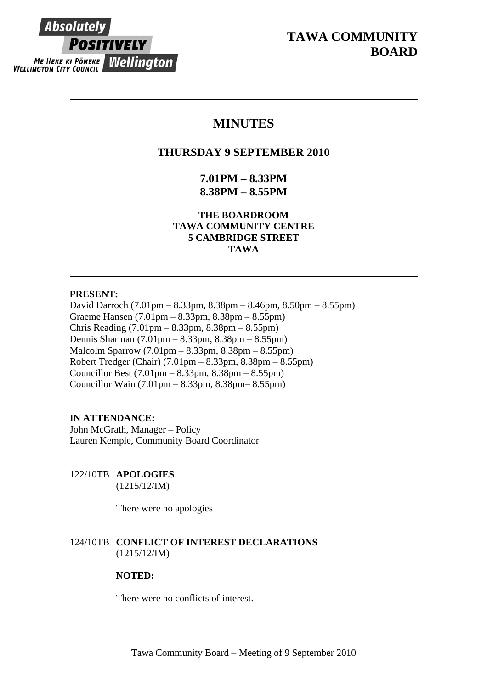

# **TAWA COMMUNITY BOARD**

## **MINUTES**

## **THURSDAY 9 SEPTEMBER 2010**

**7.01PM – 8.33PM 8.38PM – 8.55PM** 

**THE BOARDROOM TAWA COMMUNITY CENTRE 5 CAMBRIDGE STREET TAWA** 

## **PRESENT:**

David Darroch (7.01pm – 8.33pm, 8.38pm – 8.46pm, 8.50pm – 8.55pm) Graeme Hansen (7.01pm – 8.33pm, 8.38pm – 8.55pm) Chris Reading (7.01pm – 8.33pm, 8.38pm – 8.55pm) Dennis Sharman (7.01pm – 8.33pm, 8.38pm – 8.55pm) Malcolm Sparrow (7.01pm – 8.33pm, 8.38pm – 8.55pm) Robert Tredger (Chair) (7.01pm – 8.33pm, 8.38pm – 8.55pm) Councillor Best (7.01pm – 8.33pm, 8.38pm – 8.55pm) Councillor Wain (7.01pm – 8.33pm, 8.38pm– 8.55pm)

## **IN ATTENDANCE:**

John McGrath, Manager – Policy Lauren Kemple, Community Board Coordinator

122/10TB **APOLOGIES**

(1215/12/IM)

There were no apologies

## 124/10TB **CONFLICT OF INTEREST DECLARATIONS** (1215/12/IM)

## **NOTED:**

There were no conflicts of interest.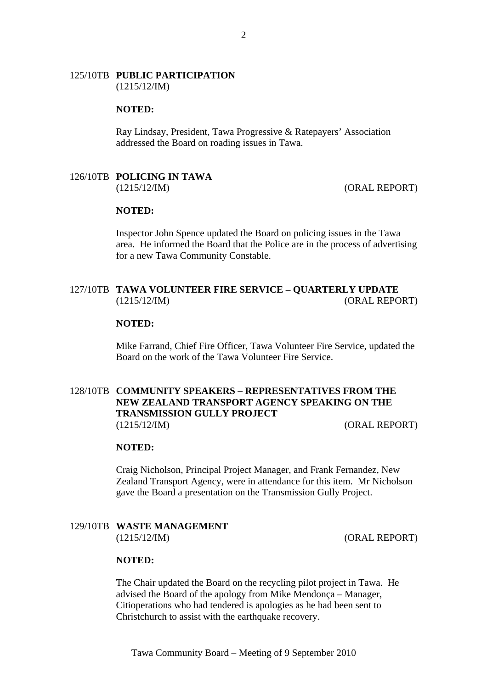#### 125/10TB **PUBLIC PARTICIPATION** (1215/12/IM)

#### **NOTED:**

Ray Lindsay, President, Tawa Progressive & Ratepayers' Association addressed the Board on roading issues in Tawa.

#### 126/10TB **POLICING IN TAWA**  (1215/12/IM) (ORAL REPORT)

#### **NOTED:**

 Inspector John Spence updated the Board on policing issues in the Tawa area. He informed the Board that the Police are in the process of advertising for a new Tawa Community Constable.

## 127/10TB **TAWA VOLUNTEER FIRE SERVICE – QUARTERLY UPDATE** (1215/12/IM) (ORAL REPORT)

#### **NOTED:**

Mike Farrand, Chief Fire Officer, Tawa Volunteer Fire Service, updated the Board on the work of the Tawa Volunteer Fire Service.

## 128/10TB **COMMUNITY SPEAKERS – REPRESENTATIVES FROM THE NEW ZEALAND TRANSPORT AGENCY SPEAKING ON THE TRANSMISSION GULLY PROJECT** (1215/12/IM) (ORAL REPORT)

#### **NOTED:**

 Craig Nicholson, Principal Project Manager, and Frank Fernandez, New Zealand Transport Agency, were in attendance for this item. Mr Nicholson gave the Board a presentation on the Transmission Gully Project.

## 129/10TB **WASTE MANAGEMENT** (1215/12/IM) (ORAL REPORT)

#### **NOTED:**

The Chair updated the Board on the recycling pilot project in Tawa. He advised the Board of the apology from Mike Mendonça – Manager, Citioperations who had tendered is apologies as he had been sent to Christchurch to assist with the earthquake recovery.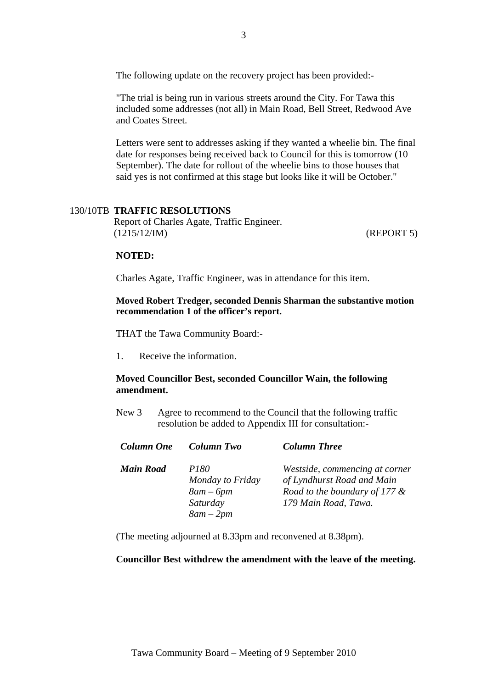The following update on the recovery project has been provided:-

"The trial is being run in various streets around the City. For Tawa this included some addresses (not all) in Main Road, Bell Street, Redwood Ave and Coates Street.

Letters were sent to addresses asking if they wanted a wheelie bin. The final date for responses being received back to Council for this is tomorrow (10 September). The date for rollout of the wheelie bins to those houses that said yes is not confirmed at this stage but looks like it will be October."

#### 130/10TB **TRAFFIC RESOLUTIONS**

Report of Charles Agate, Traffic Engineer. (1215/12/IM) (REPORT 5)

#### **NOTED:**

Charles Agate, Traffic Engineer, was in attendance for this item.

**Moved Robert Tredger, seconded Dennis Sharman the substantive motion recommendation 1 of the officer's report.**

THAT the Tawa Community Board:-

1. Receive the information.

## **Moved Councillor Best, seconded Councillor Wain, the following amendment.**

New 3 Agree to recommend to the Council that the following traffic resolution be added to Appendix III for consultation:-

| <b>Column One</b> | Column Two                                               | <b>Column Three</b>                                                                                                      |
|-------------------|----------------------------------------------------------|--------------------------------------------------------------------------------------------------------------------------|
| <b>Main Road</b>  | <i>P180</i><br>Monday to Friday<br>$8am-6pm$<br>Saturday | Westside, commencing at corner<br>of Lyndhurst Road and Main<br>Road to the boundary of 177 $\&$<br>179 Main Road, Tawa. |
|                   | $8am - 2pm$                                              |                                                                                                                          |

(The meeting adjourned at 8.33pm and reconvened at 8.38pm).

#### **Councillor Best withdrew the amendment with the leave of the meeting.**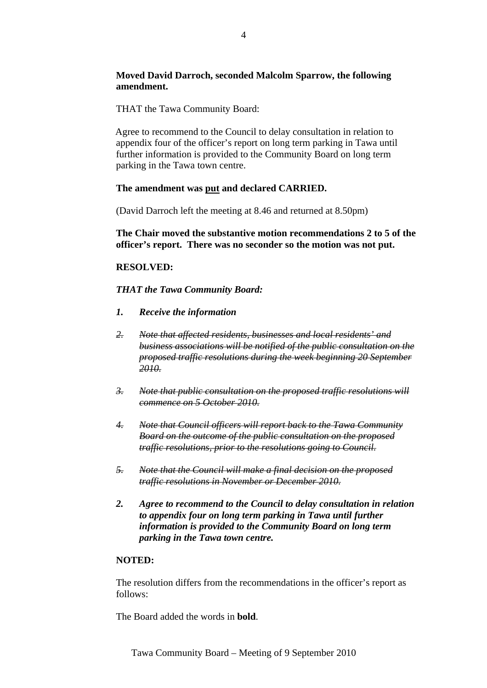## **Moved David Darroch, seconded Malcolm Sparrow, the following amendment.**

THAT the Tawa Community Board:

Agree to recommend to the Council to delay consultation in relation to appendix four of the officer's report on long term parking in Tawa until further information is provided to the Community Board on long term parking in the Tawa town centre.

## **The amendment was put and declared CARRIED.**

(David Darroch left the meeting at 8.46 and returned at 8.50pm)

**The Chair moved the substantive motion recommendations 2 to 5 of the officer's report. There was no seconder so the motion was not put.** 

## **RESOLVED:**

*THAT the Tawa Community Board:* 

- *1. Receive the information*
- *2. Note that affected residents, businesses and local residents' and business associations will be notified of the public consultation on the proposed traffic resolutions during the week beginning 20 September 2010.*
- *3. Note that public consultation on the proposed traffic resolutions will commence on 5 October 2010.*
- *4. Note that Council officers will report back to the Tawa Community Board on the outcome of the public consultation on the proposed traffic resolutions, prior to the resolutions going to Council.*
- *5. Note that the Council will make a final decision on the proposed traffic resolutions in November or December 2010.*
- *2. Agree to recommend to the Council to delay consultation in relation to appendix four on long term parking in Tawa until further information is provided to the Community Board on long term parking in the Tawa town centre.*

## **NOTED:**

The resolution differs from the recommendations in the officer's report as follows:

The Board added the words in **bold**.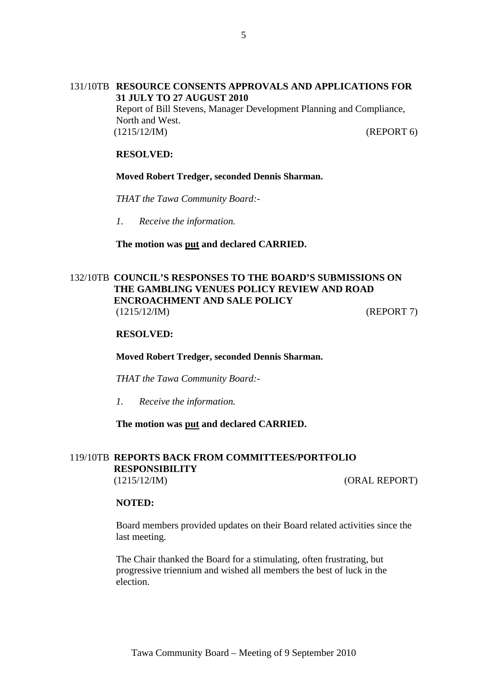## 131/10TB **RESOURCE CONSENTS APPROVALS AND APPLICATIONS FOR 31 JULY TO 27 AUGUST 2010**

Report of Bill Stevens, Manager Development Planning and Compliance, North and West. (1215/12/IM) (REPORT 6)

## **RESOLVED:**

#### **Moved Robert Tredger, seconded Dennis Sharman.**

*THAT the Tawa Community Board:-* 

*1. Receive the information.* 

**The motion was put and declared CARRIED.** 

## 132/10TB **COUNCIL'S RESPONSES TO THE BOARD'S SUBMISSIONS ON THE GAMBLING VENUES POLICY REVIEW AND ROAD ENCROACHMENT AND SALE POLICY** (1215/12/IM) (REPORT 7)

#### **RESOLVED:**

**Moved Robert Tredger, seconded Dennis Sharman.**

*THAT the Tawa Community Board:-* 

*1. Receive the information.* 

#### **The motion was put and declared CARRIED.**

#### 119/10TB **REPORTS BACK FROM COMMITTEES/PORTFOLIO RESPONSIBILITY**  (1215/12/IM) (ORAL REPORT)

#### **NOTED:**

Board members provided updates on their Board related activities since the last meeting.

The Chair thanked the Board for a stimulating, often frustrating, but progressive triennium and wished all members the best of luck in the election.